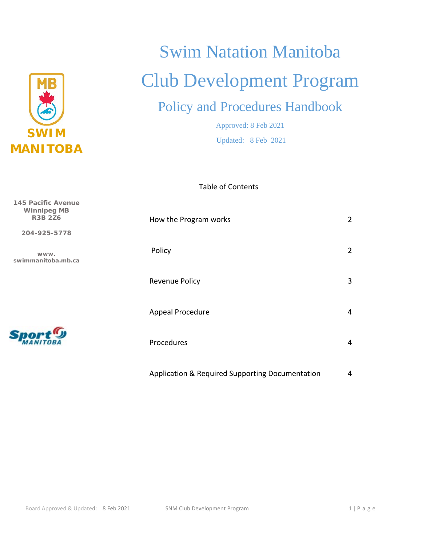

**145 Pacific Avenue Winnipeg MB R3B 2Z6**

**204-925-5778**

**www. swimmanitoba.mb.ca**

# Swim Natation Manitoba Club Development Program

# Policy and Procedures Handbook

Approved: 8 Feb 2021 Updated: 8 Feb 2021

Table of Contents

| How the Program works                           | 2 |
|-------------------------------------------------|---|
| Policy                                          | 2 |
| <b>Revenue Policy</b>                           | 3 |
| Appeal Procedure                                | 4 |
| Procedures                                      | 4 |
| Application & Required Supporting Documentation | 4 |

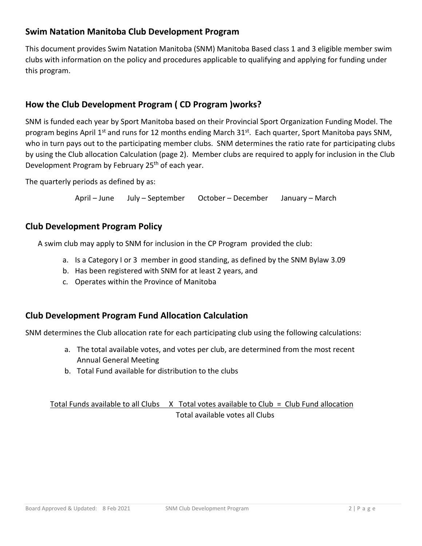# **Swim Natation Manitoba Club Development Program**

This document provides Swim Natation Manitoba (SNM) Manitoba Based class 1 and 3 eligible member swim clubs with information on the policy and procedures applicable to qualifying and applying for funding under this program.

# **How the Club Development Program ( CD Program )works?**

SNM is funded each year by Sport Manitoba based on their Provincial Sport Organization Funding Model. The program begins April 1<sup>st</sup> and runs for 12 months ending March 31<sup>st</sup>. Each quarter, Sport Manitoba pays SNM, who in turn pays out to the participating member clubs. SNM determines the ratio rate for participating clubs by using the Club allocation Calculation (page 2). Member clubs are required to apply for inclusion in the Club Development Program by February 25<sup>th</sup> of each year.

The quarterly periods as defined by as:

April – June July – September October – December January – March

#### **Club Development Program Policy**

A swim club may apply to SNM for inclusion in the CP Program provided the club:

- a. Is a Category I or 3 member in good standing, as defined by the SNM Bylaw 3.09
- b. Has been registered with SNM for at least 2 years, and
- c. Operates within the Province of Manitoba

# **Club Development Program Fund Allocation Calculation**

SNM determines the Club allocation rate for each participating club using the following calculations:

- a. The total available votes, and votes per club, are determined from the most recent Annual General Meeting
- b. Total Fund available for distribution to the clubs

#### Total Funds available to all Clubs X Total votes available to Club = Club Fund allocation Total available votes all Clubs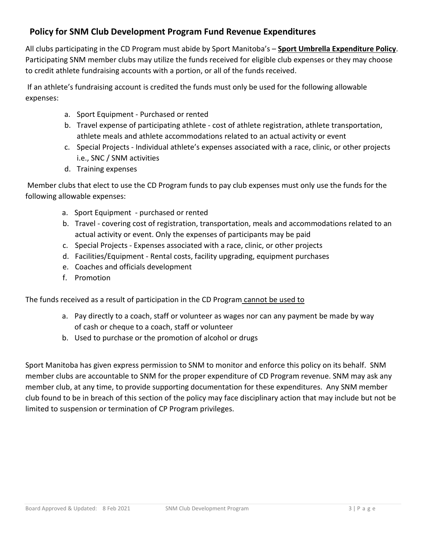# **Policy for SNM Club Development Program Fund Revenue Expenditures**

All clubs participating in the CD Program must abide by Sport Manitoba's – **Sport Umbrella Expenditure Policy**. Participating SNM member clubs may utilize the funds received for eligible club expenses or they may choose to credit athlete fundraising accounts with a portion, or all of the funds received.

If an athlete's fundraising account is credited the funds must only be used for the following allowable expenses:

- a. Sport Equipment Purchased or rented
- b. Travel expense of participating athlete cost of athlete registration, athlete transportation, athlete meals and athlete accommodations related to an actual activity or event
- c. Special Projects Individual athlete's expenses associated with a race, clinic, or other projects i.e., SNC / SNM activities
- d. Training expenses

Member clubs that elect to use the CD Program funds to pay club expenses must only use the funds for the following allowable expenses:

- a. Sport Equipment purchased or rented
- b. Travel covering cost of registration, transportation, meals and accommodations related to an actual activity or event. Only the expenses of participants may be paid
- c. Special Projects Expenses associated with a race, clinic, or other projects
- d. Facilities/Equipment Rental costs, facility upgrading, equipment purchases
- e. Coaches and officials development
- f. Promotion

The funds received as a result of participation in the CD Program cannot be used to

- a. Pay directly to a coach, staff or volunteer as wages nor can any payment be made by way of cash or cheque to a coach, staff or volunteer
- b. Used to purchase or the promotion of alcohol or drugs

Sport Manitoba has given express permission to SNM to monitor and enforce this policy on its behalf. SNM member clubs are accountable to SNM for the proper expenditure of CD Program revenue. SNM may ask any member club, at any time, to provide supporting documentation for these expenditures. Any SNM member club found to be in breach of this section of the policy may face disciplinary action that may include but not be limited to suspension or termination of CP Program privileges.